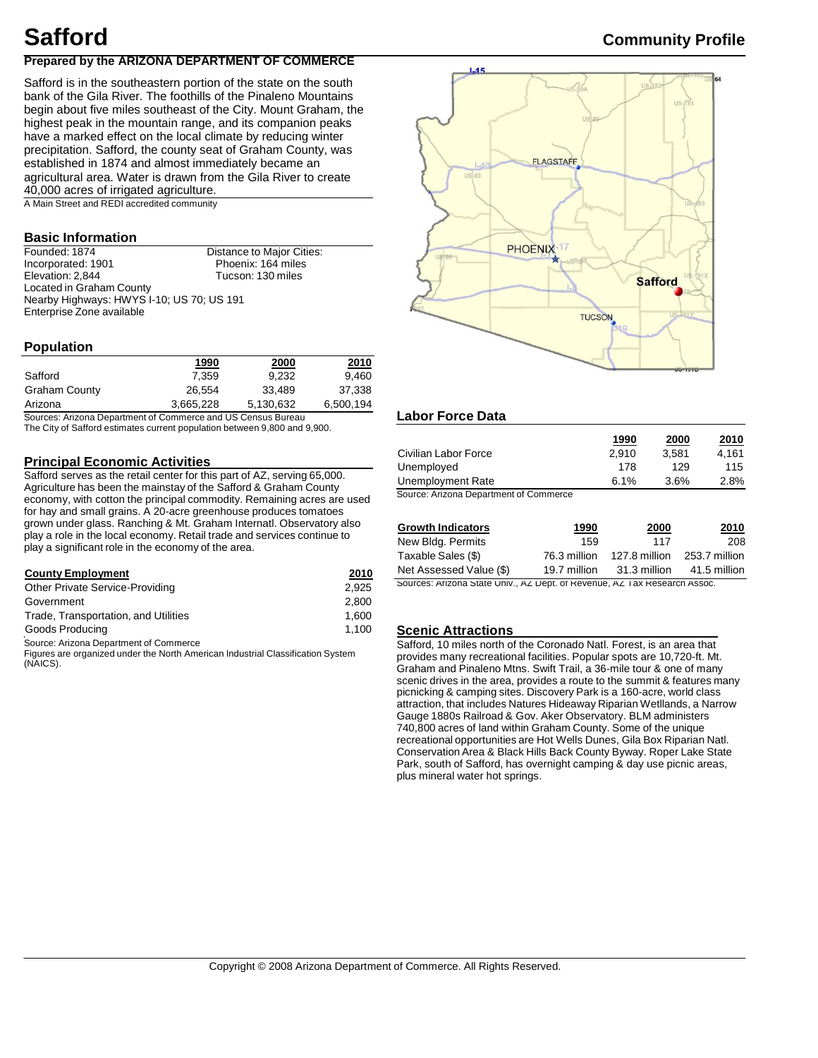# **Prepared by the ARIZONA DEPARTMENT OF COMMERCE**

Safford is in the southeastern portion of the state on the south bank of the Gila River. The foothills of the Pinaleno Mountains begin about five miles southeast of the City. Mount Graham, the highest peak in the mountain range, and its companion peaks have a marked effect on the local climate by reducing winter precipitation. Safford, the county seat of Graham County, was established in 1874 and almost immediately became an agricultural area. Water is drawn from the Gila River to create 40,000 acres of irrigated agriculture.

A Main Street and REDI accredited community

# **Basic Information**

| Founded: 1874                             | Distance to Major Cities: |
|-------------------------------------------|---------------------------|
| Incorporated: 1901                        | Phoenix: 164 miles        |
| Elevation: 2,844                          | Tucson: 130 miles         |
| Located in Graham County                  |                           |
| Nearby Highways: HWYS I-10; US 70; US 191 |                           |
| Enterprise Zone available                 |                           |

# **Population**

| 1990      | <u> 2000</u> | 2010      |
|-----------|--------------|-----------|
| 7.359     | 9.232        | 9,460     |
| 26.554    | 33.489       | 37,338    |
| 3,665,228 | 5,130,632    | 6,500,194 |
|           |              |           |

Sources: Arizona Department of Commerce and US Census Bureau The City of Safford estimates current population between 9,800 and 9,900.

## **Principal Economic Activities**

Safford serves as the retail center for this part of AZ, serving 65,000. Agriculture has been the mainstay of the Safford & Graham County economy, with cotton the principal commodity. Remaining acres are used for hay and small grains. A 20-acre greenhouse produces tomatoes grown under glass. Ranching & Mt. Graham Internatl. Observatory also play a role in the local economy. Retail trade and services continue to play a significant role in the economy of the area.

| <b>County Employment</b>             | 2010  | Net Assessed Value (\$)                                                   | 19.7 million | 31.3 million | 41.5 million |
|--------------------------------------|-------|---------------------------------------------------------------------------|--------------|--------------|--------------|
| Other Private Service-Providing      | 2.925 | Sources: Arizona State Univ., AZ Dept. of Revenue, AZ Tax Research Assoc. |              |              |              |
| Government                           | 2.800 |                                                                           |              |              |              |
| Trade, Transportation, and Utilities | .600  |                                                                           |              |              |              |
| Goods Producing                      | 1.100 | <b>Scenic Attractions</b>                                                 |              |              |              |

Source: Arizona Department of Commerce

Figures are organized under the North American Industrial Classification System (NAICS).



# **Labor Force Data**

|                                        | 1990  | 2000  | 2010  |
|----------------------------------------|-------|-------|-------|
| Civilian Labor Force                   | 2.910 | 3.581 | 4.161 |
| Unemployed                             | 178   | 129   | 115   |
| Unemployment Rate                      | 6.1%  | 3.6%  | 2.8%  |
| Source: Arizona Denartment of Commerce |       |       |       |

Source: Arizona Department of Commerce

| <b>Growth Indicators</b> | <u> 1990</u> | <b>2000</b>   | 2010          |
|--------------------------|--------------|---------------|---------------|
| New Bldg. Permits        | 159          | 117           | 208           |
| Taxable Sales (\$)       | 76.3 million | 127.8 million | 253.7 million |
| Net Assessed Value (\$)  | 19.7 million | 31.3 million  | 41.5 million  |

#### **Scenic Attractions**

Safford, 10 miles north of the Coronado Natl. Forest, is an area that provides many recreational facilities. Popular spots are 10,720-ft. Mt. Graham and Pinaleno Mtns. Swift Trail, a 36-mile tour & one of many scenic drives in the area, provides a route to the summit & features many picnicking & camping sites. Discovery Park is a 160-acre, world class attraction, that includes Natures Hideaway Riparian Wetllands, a Narrow Gauge 1880s Railroad & Gov. Aker Observatory. BLM administers 740,800 acres of land within Graham County. Some of the unique recreational opportunities are Hot Wells Dunes, Gila Box Riparian Natl. Conservation Area & Black Hills Back County Byway. Roper Lake State Park, south of Safford, has overnight camping & day use picnic areas, plus mineral water hot springs.